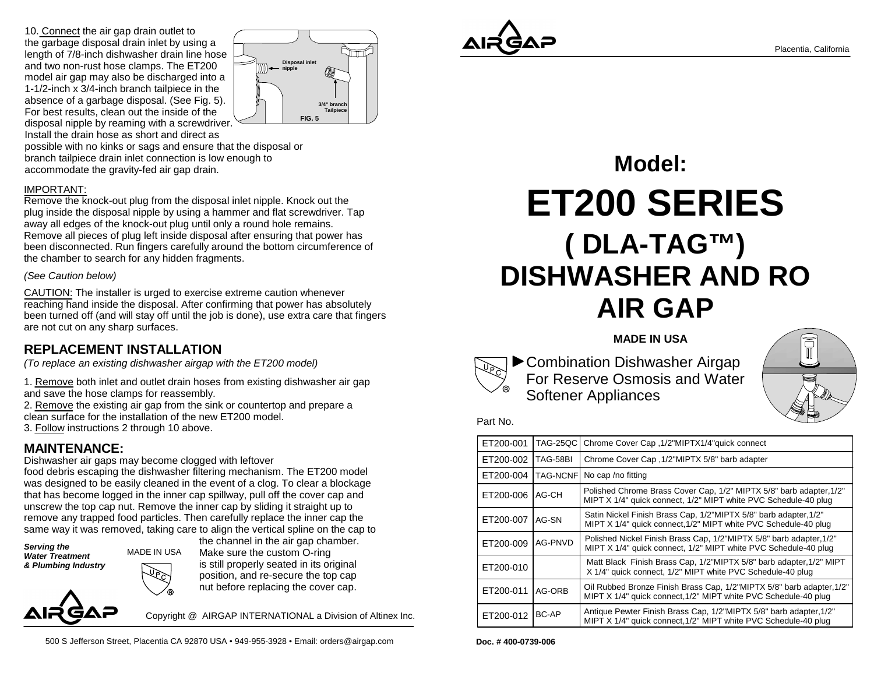10. Connect the air gap drain outlet to the garbage disposal drain inlet by using a length of 7/8-inch dishwasher drain line hoseand two non-rust hose clamps. The ET200 model air gap may also be discharged into a 1-1/2-inch x 3/4-inch branch tailpiece in the absence of a garbage disposal. (See Fig. 5).For best results, clean out the inside of the disposal nipple by reaming with a screwdriver. Install the drain hose as short and direct as



 possible with no kinks or sags and ensure that the disposal orbranch tailpiece drain inlet connection is low enough toaccommodate the gravity-fed air gap drain.

### IMPORTANT:

 Remove the knock-out plug from the disposal inlet nipple. Knock out the plug inside the disposal nipple by using a hammer and flat screwdriver. Tapaway all edges of the knock-out plug until only a round hole remains. Remove all pieces of plug left inside disposal after ensuring that power has been disconnected. Run fingers carefully around the bottom circumference ofthe chamber to search for any hidden fragments.

### (See Caution below)

CAUTION: The installer is urged to exercise extreme caution whenever reaching hand inside the disposal. After confirming that power has absolutely been turned off (and will stay off until the job is done), use extra care that fingersare not cut on any sharp surfaces.

## **REPLACEMENT INSTALLATION**

(To replace an existing dishwasher airgap with the ET200 model)

1. Remove both inlet and outlet drain hoses from existing dishwasher air gapand save the hose clamps for reassembly.

2. Remove the existing air gap from the sink or countertop and prepare a clean surface for the installation of the new ET200 model.

3. Follow instructions 2 through 10 above.

## **MAINTENANCE:**

Dishwasher air gaps may become clogged with leftover food debris escaping the dishwasher filtering mechanism. The ET200 model was designed to be easily cleaned in the event of a clog. To clear a blockage that has become logged in the inner cap spillway, pull off the cover cap andunscrew the top cap nut. Remove the inner cap by sliding it straight up to remove any trapped food particles. Then carefully replace the inner cap thesame way it was removed, taking care to align the vertical spline on the cap to

**Serving the Water Treatment& Plumbing Industry**

 the channel in the air gap chamber. Make sure the custom O-ring s still properly seated in its original  $\rightarrow$  position, and re-secure the top cap  $\%$  nut before replacing the cover cap. MADE IN USA

Copyright @ AIRGAP INTERNATIONAL a Division of Altinex Inc.





# **( DLA-TAG™) DISHWASHER AND ROAIR GAPModel:ET200 SERIES**

### **MADE IN USA**



Combination Dishwasher Airgap For Reserve Osmosis and Water Softener Appliances



#### Part No.

| ET200-001 | <b>TAG-25QC</b> | Chrome Cover Cap , 1/2"MIPTX1/4"quick connect                                                                                            |
|-----------|-----------------|------------------------------------------------------------------------------------------------------------------------------------------|
| ET200-002 | TAG-58BI        | Chrome Cover Cap , 1/2"MIPTX 5/8" barb adapter                                                                                           |
| ET200-004 | <b>TAG-NCNF</b> | No cap /no fitting                                                                                                                       |
| ET200-006 | AG-CH           | Polished Chrome Brass Cover Cap, 1/2" MIPTX 5/8" barb adapter, 1/2"<br>MIPT X 1/4" quick connect, 1/2" MIPT white PVC Schedule-40 plug   |
| ET200-007 | AG-SN           | Satin Nickel Finish Brass Cap, 1/2"MIPTX 5/8" barb adapter, 1/2"<br>MIPT X 1/4" quick connect, 1/2" MIPT white PVC Schedule-40 plug      |
| ET200-009 | AG-PNVD         | Polished Nickel Finish Brass Cap, 1/2"MIPTX 5/8" barb adapter, 1/2"<br>MIPT X 1/4" quick connect, 1/2" MIPT white PVC Schedule-40 plug   |
| ET200-010 |                 | Matt Black Finish Brass Cap, 1/2"MIPTX 5/8" barb adapter, 1/2" MIPT<br>X 1/4" quick connect, 1/2" MIPT white PVC Schedule-40 plug        |
| ET200-011 | AG-ORB          | Oil Rubbed Bronze Finish Brass Cap, 1/2"MIPTX 5/8" barb adapter, 1/2"<br>MIPT X 1/4" quick connect, 1/2" MIPT white PVC Schedule-40 plug |
| ET200-012 | BC-AP           | Antique Pewter Finish Brass Cap, 1/2"MIPTX 5/8" barb adapter, 1/2"<br>MIPT X 1/4" quick connect, 1/2" MIPT white PVC Schedule-40 plug    |